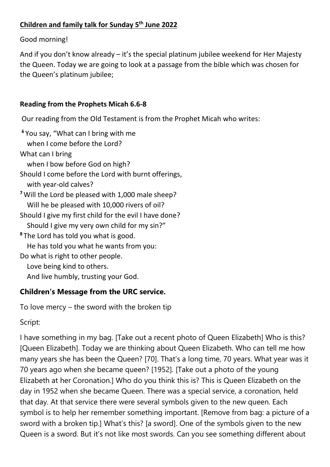## **Children and family talk for Sunday 5 th June 2022**

Good morning!

And if you don't know already – it's the special platinum jubilee weekend for Her Majesty the Queen. Today we are going to look at a passage from the bible which was chosen for the Queen's platinum jubilee;

## **Reading from the Prophets Micah 6.6-8**

Our reading from the Old Testament is from the Prophet Micah who writes:

**<sup>6</sup>** You say, "What can I bring with me when I come before the Lord? What can I bring when I bow before God on high? Should I come before the Lord with burnt offerings, with year-old calves? **<sup>7</sup>**Will the Lord be pleased with 1,000 male sheep? Will he be pleased with 10,000 rivers of oil? Should I give my first child for the evil I have done? Should I give my very own child for my sin?" **<sup>8</sup>** The Lord has told you what is good. He has told you what he wants from you: Do what is right to other people. Love being kind to others. And live humbly, trusting your God.

## **Children's Message from the URC service.**

To love mercy – the sword with the broken tip

Script:

I have something in my bag. [Take out a recent photo of Queen Elizabeth] Who is this? [Queen Elizabeth]. Today we are thinking about Queen Elizabeth. Who can tell me how many years she has been the Queen? [70]. That's a long time, 70 years. What year was it 70 years ago when she became queen? [1952]. [Take out a photo of the young Elizabeth at her Coronation.] Who do you think this is? This is Queen Elizabeth on the day in 1952 when she became Queen. There was a special service, a coronation, held that day. At that service there were several symbols given to the new queen. Each symbol is to help her remember something important. [Remove from bag: a picture of a sword with a broken tip.] What's this? [a sword]. One of the symbols given to the new Queen is a sword. But it's not like most swords. Can you see something different about